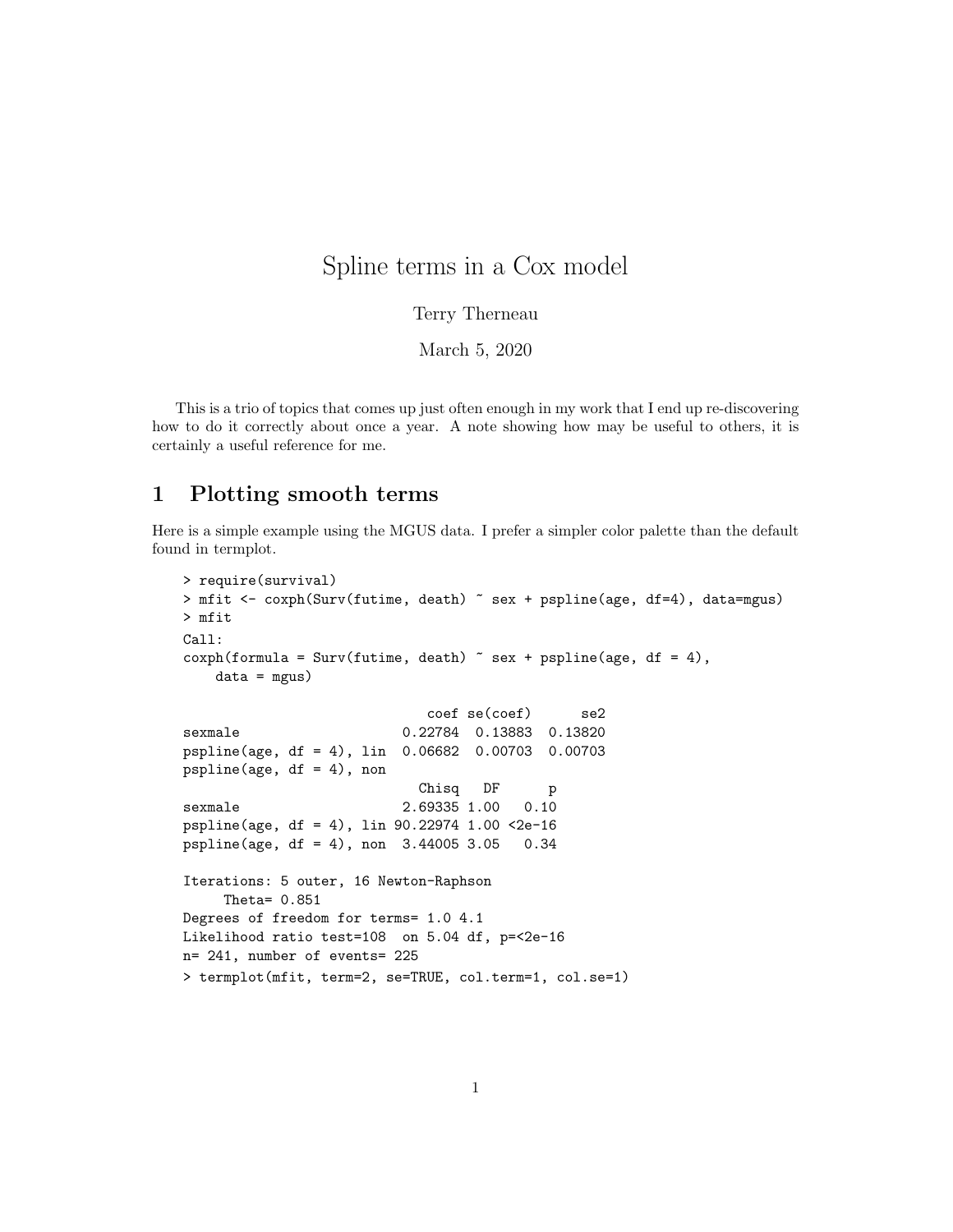## Spline terms in a Cox model

Terry Therneau

March 5, 2020

This is a trio of topics that comes up just often enough in my work that I end up re-discovering how to do it correctly about once a year. A note showing how may be useful to others, it is certainly a useful reference for me.

## 1 Plotting smooth terms

Here is a simple example using the MGUS data. I prefer a simpler color palette than the default found in termplot.

```
> require(survival)
> mfit <- coxph(Surv(futime, death) ~ sex + pspline(age, df=4), data=mgus)
> mfit
Call:
cosph(formula = Surv(futime, death) \sim sex + pspline(age, df = 4),
   data = mgus)coef se(coef) se2
sexmale 0.22784 0.13883 0.13820
pspline(age, df = 4), lin 0.06682 0.00703 0.00703
pspline(age, df = 4), non
                           Chisq DF p
sexmale 2.69335 1.00 0.10
pspline(age, df = 4), lin 90.22974 1.00 <2e-16
pspline(age, df = 4), non 3.44005 3.05 0.34
Iterations: 5 outer, 16 Newton-Raphson
    Theta= 0.851
Degrees of freedom for terms= 1.0 4.1
Likelihood ratio test=108 on 5.04 df, p=<2e-16
n= 241, number of events= 225
> termplot(mfit, term=2, se=TRUE, col.term=1, col.se=1)
```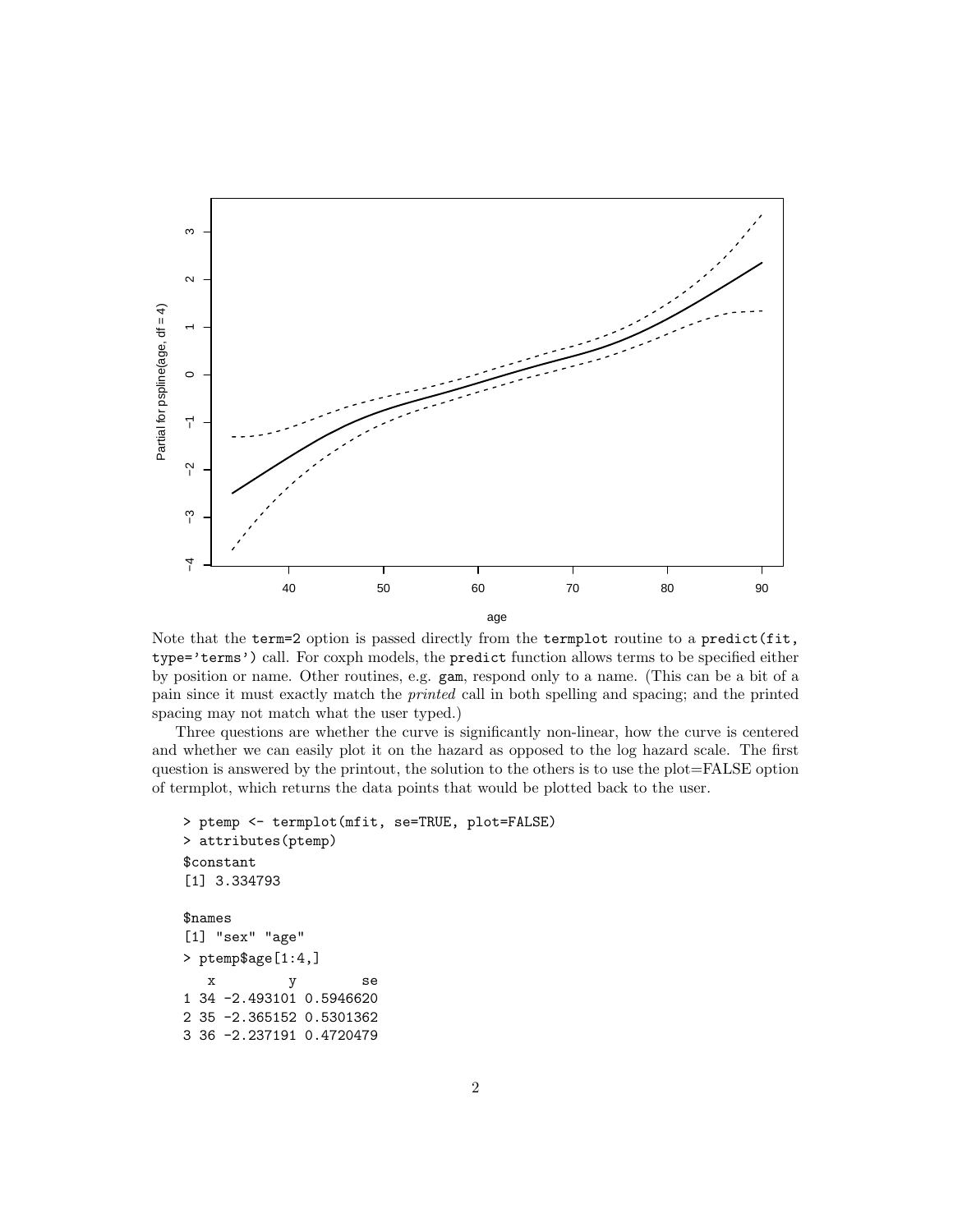

Note that the term=2 option is passed directly from the termplot routine to a predict(fit, type='terms') call. For coxph models, the predict function allows terms to be specified either by position or name. Other routines, e.g. gam, respond only to a name. (This can be a bit of a pain since it must exactly match the printed call in both spelling and spacing; and the printed spacing may not match what the user typed.)

Three questions are whether the curve is significantly non-linear, how the curve is centered and whether we can easily plot it on the hazard as opposed to the log hazard scale. The first question is answered by the printout, the solution to the others is to use the plot=FALSE option of termplot, which returns the data points that would be plotted back to the user.

```
> ptemp <- termplot(mfit, se=TRUE, plot=FALSE)
> attributes(ptemp)
$constant
[1] 3.334793
$names
[1] "sex" "age"
> ptemp$age[1:4,]
   x y se
1 34 -2.493101 0.5946620
2 35 -2.365152 0.5301362
3 36 -2.237191 0.4720479
```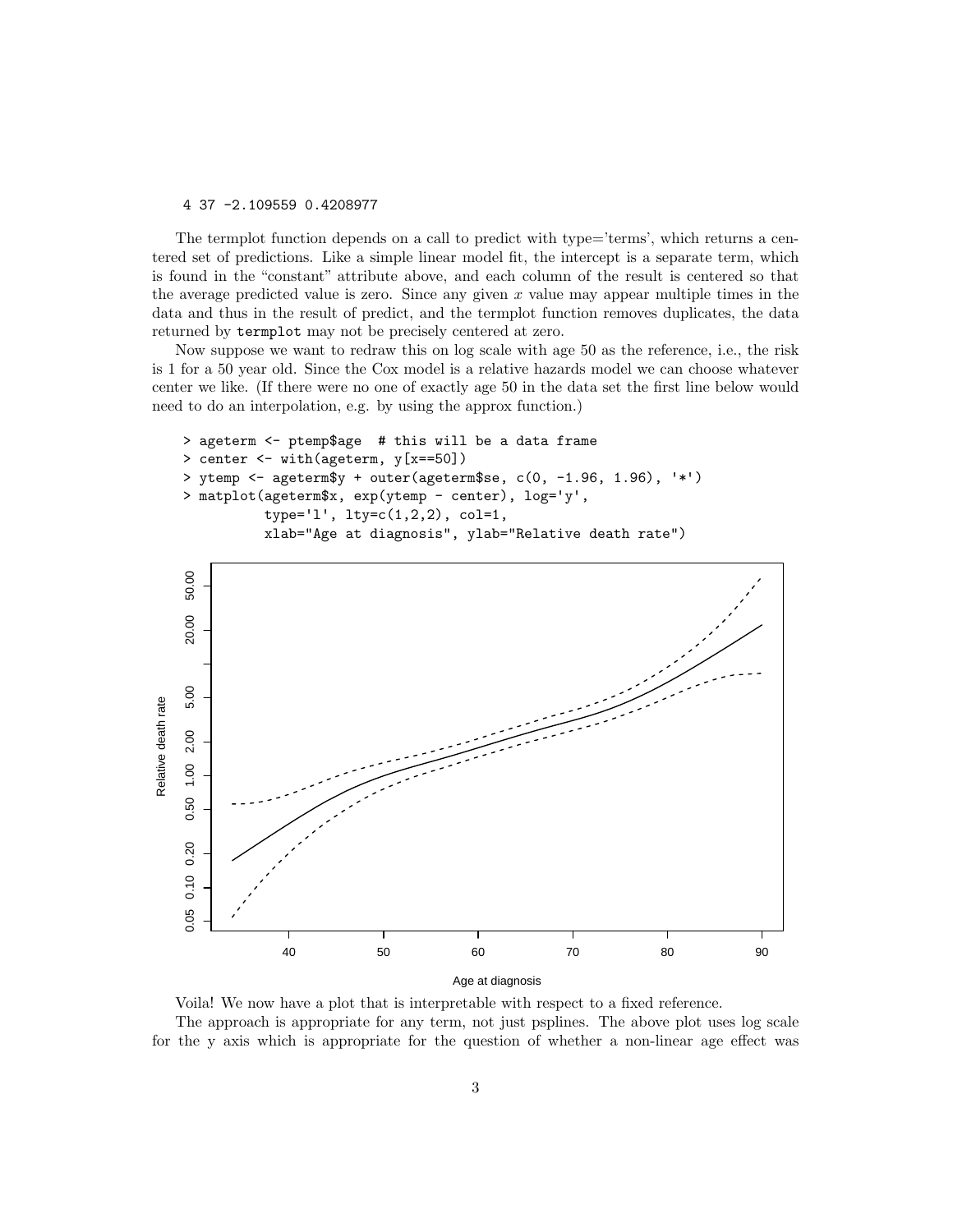4 37 -2.109559 0.4208977

The termplot function depends on a call to predict with type='terms', which returns a centered set of predictions. Like a simple linear model fit, the intercept is a separate term, which is found in the "constant" attribute above, and each column of the result is centered so that the average predicted value is zero. Since any given x value may appear multiple times in the data and thus in the result of predict, and the termplot function removes duplicates, the data returned by termplot may not be precisely centered at zero.

Now suppose we want to redraw this on log scale with age 50 as the reference, i.e., the risk is 1 for a 50 year old. Since the Cox model is a relative hazards model we can choose whatever center we like. (If there were no one of exactly age 50 in the data set the first line below would need to do an interpolation, e.g. by using the approx function.)

```
> ageterm <- ptemp$age # this will be a data frame
> center <- with(ageterm, y[x==50])
> ytemp <- ageterm$y + outer(ageterm$se, c(0, -1.96, 1.96), '*')
> matplot(ageterm$x, exp(ytemp - center), log='y',
          type='l', lty=c(1,2,2), col=1,xlab="Age at diagnosis", ylab="Relative death rate")
```


Voila! We now have a plot that is interpretable with respect to a fixed reference. The approach is appropriate for any term, not just psplines. The above plot uses log scale for the y axis which is appropriate for the question of whether a non-linear age effect was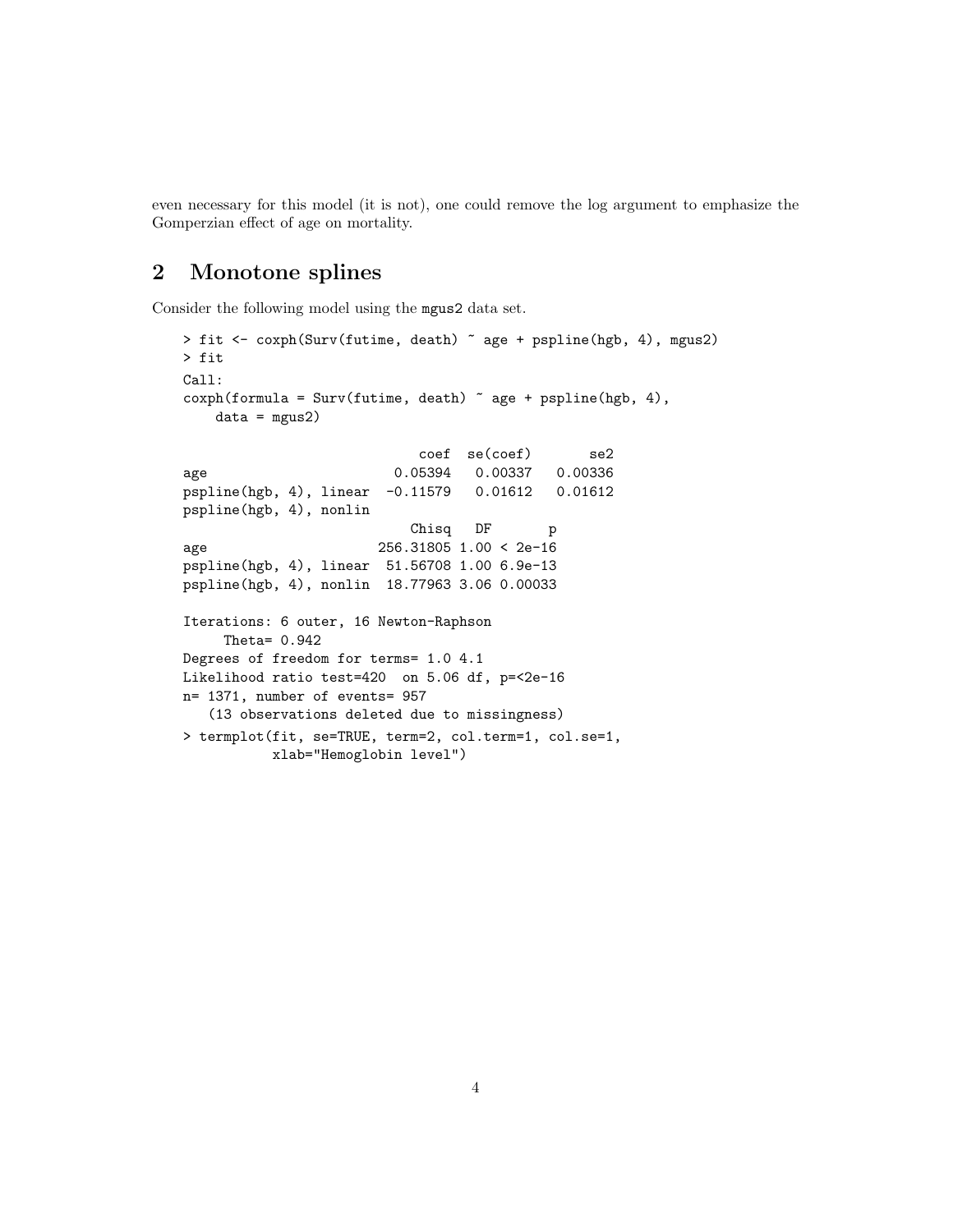even necessary for this model (it is not), one could remove the log argument to emphasize the Gomperzian effect of age on mortality.

## 2 Monotone splines

Consider the following model using the mgus2 data set.

```
> fit <- coxph(Surv(futime, death) ~ age + pspline(hgb, 4), mgus2)
> fit
Call:
\text{cosph}(\text{formula} = \text{Surv}(\text{future}, \text{death}) \tilde{ } age + pspline(hgb, 4),
    data = mgus2)coef se(coef) se2
age 0.05394 0.00337 0.00336
pspline(hgb, 4), linear -0.11579 0.01612 0.01612
pspline(hgb, 4), nonlin
                           Chisq DF p
age 256.31805 1.00 < 2e-16
pspline(hgb, 4), linear 51.56708 1.00 6.9e-13
pspline(hgb, 4), nonlin 18.77963 3.06 0.00033
Iterations: 6 outer, 16 Newton-Raphson
    Theta= 0.942
Degrees of freedom for terms= 1.0 4.1
Likelihood ratio test=420 on 5.06 df, p=<2e-16
n= 1371, number of events= 957
   (13 observations deleted due to missingness)
> termplot(fit, se=TRUE, term=2, col.term=1, col.se=1,
          xlab="Hemoglobin level")
```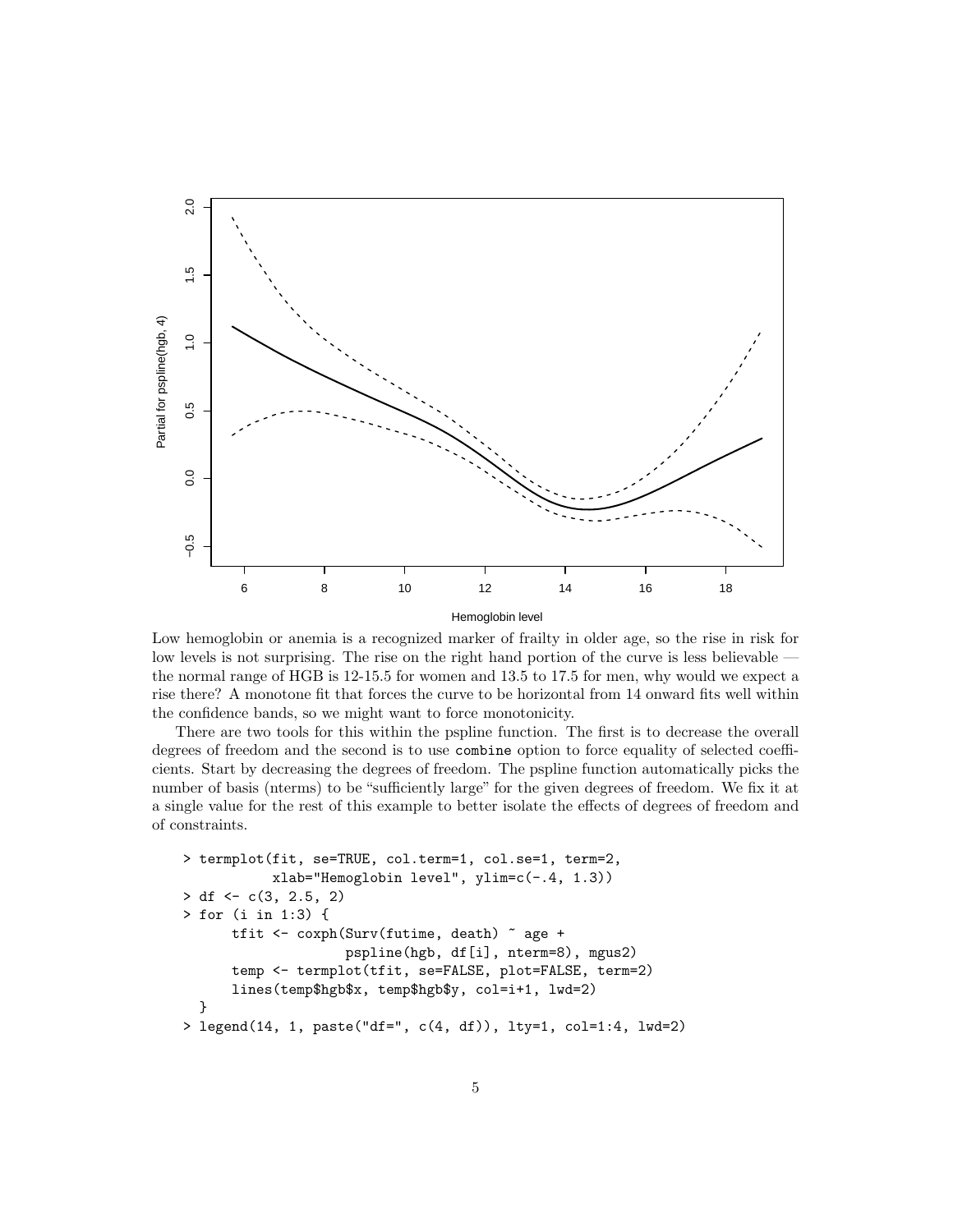

Low hemoglobin or anemia is a recognized marker of frailty in older age, so the rise in risk for low levels is not surprising. The rise on the right hand portion of the curve is less believable the normal range of HGB is 12-15.5 for women and 13.5 to 17.5 for men, why would we expect a rise there? A monotone fit that forces the curve to be horizontal from 14 onward fits well within the confidence bands, so we might want to force monotonicity.

There are two tools for this within the pspline function. The first is to decrease the overall degrees of freedom and the second is to use combine option to force equality of selected coefficients. Start by decreasing the degrees of freedom. The pspline function automatically picks the number of basis (nterms) to be "sufficiently large" for the given degrees of freedom. We fix it at a single value for the rest of this example to better isolate the effects of degrees of freedom and of constraints.

```
> termplot(fit, se=TRUE, col.term=1, col.se=1, term=2,
           xlab="Hemoglobin level", ylim=c(-.4, 1.3))> df \leftarrow c(3, 2.5, 2)> for (i in 1:3) {
      tfit <- coxph(Surv(futime, death) ~ age +
                    pspline(hgb, df[i], nterm=8), mgus2)
      temp <- termplot(tfit, se=FALSE, plot=FALSE, term=2)
      lines(temp$hgb$x, temp$hgb$y, col=i+1, lwd=2)
  }
> legend(14, 1, paste("df=", c(4, df)), lty=1, col=1:4, lwd=2)
```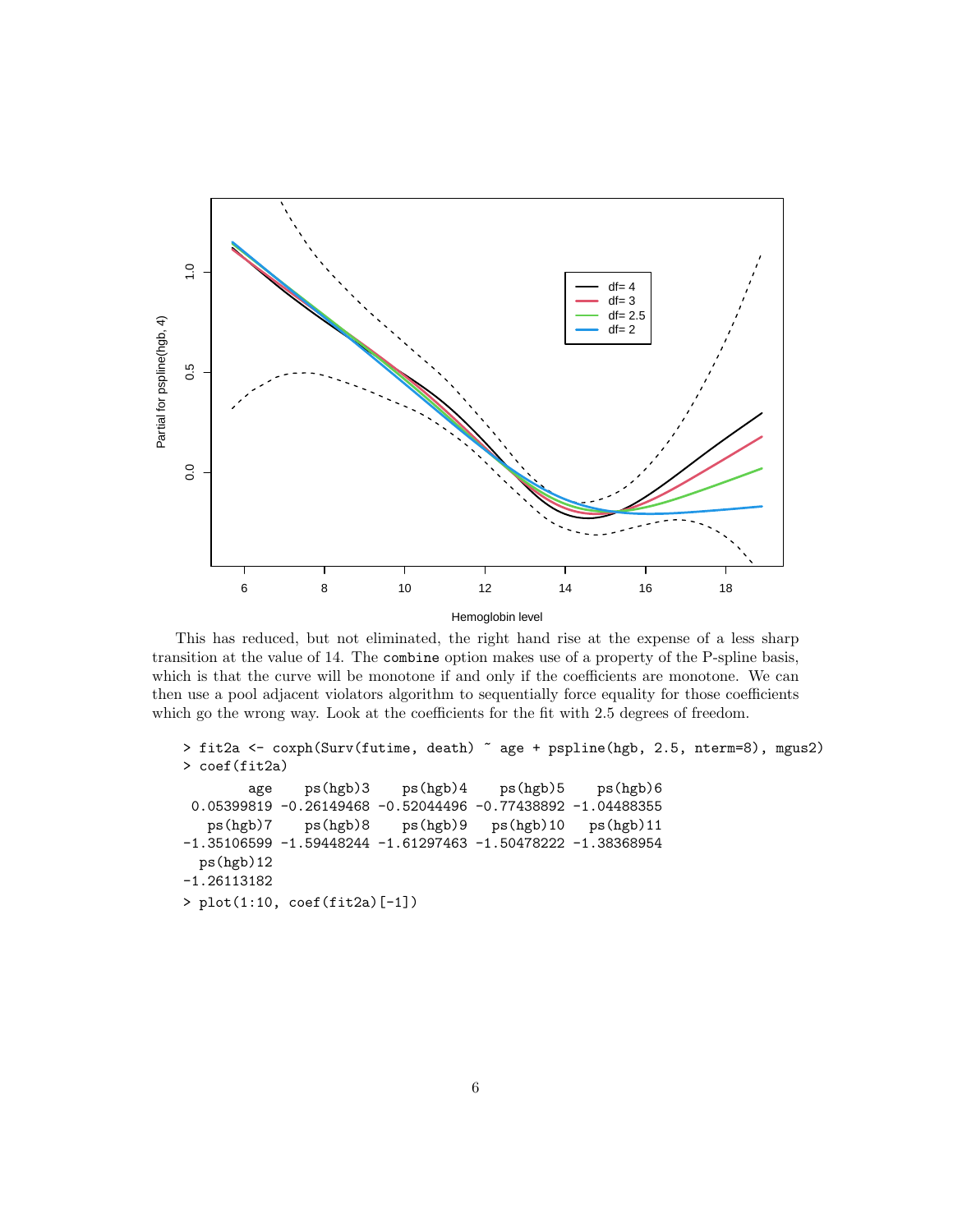

This has reduced, but not eliminated, the right hand rise at the expense of a less sharp transition at the value of 14. The combine option makes use of a property of the P-spline basis, which is that the curve will be monotone if and only if the coefficients are monotone. We can then use a pool adjacent violators algorithm to sequentially force equality for those coefficients which go the wrong way. Look at the coefficients for the fit with 2.5 degrees of freedom.

```
> fit2a <- coxph(Surv(futime, death) ~ age + pspline(hgb, 2.5, nterm=8), mgus2)
> coef(fit2a)
       age ps(hgb)3 ps(hgb)4 ps(hgb)5 ps(hgb)6
0.05399819 -0.26149468 -0.52044496 -0.77438892 -1.04488355
   ps(hgb)7 ps(hgb)8 ps(hgb)9 ps(hgb)10 ps(hgb)11
-1.35106599 -1.59448244 -1.61297463 -1.50478222 -1.38368954
  ps(hgb)12
-1.26113182
> plot(1:10, coef(fit2a)[-1])
```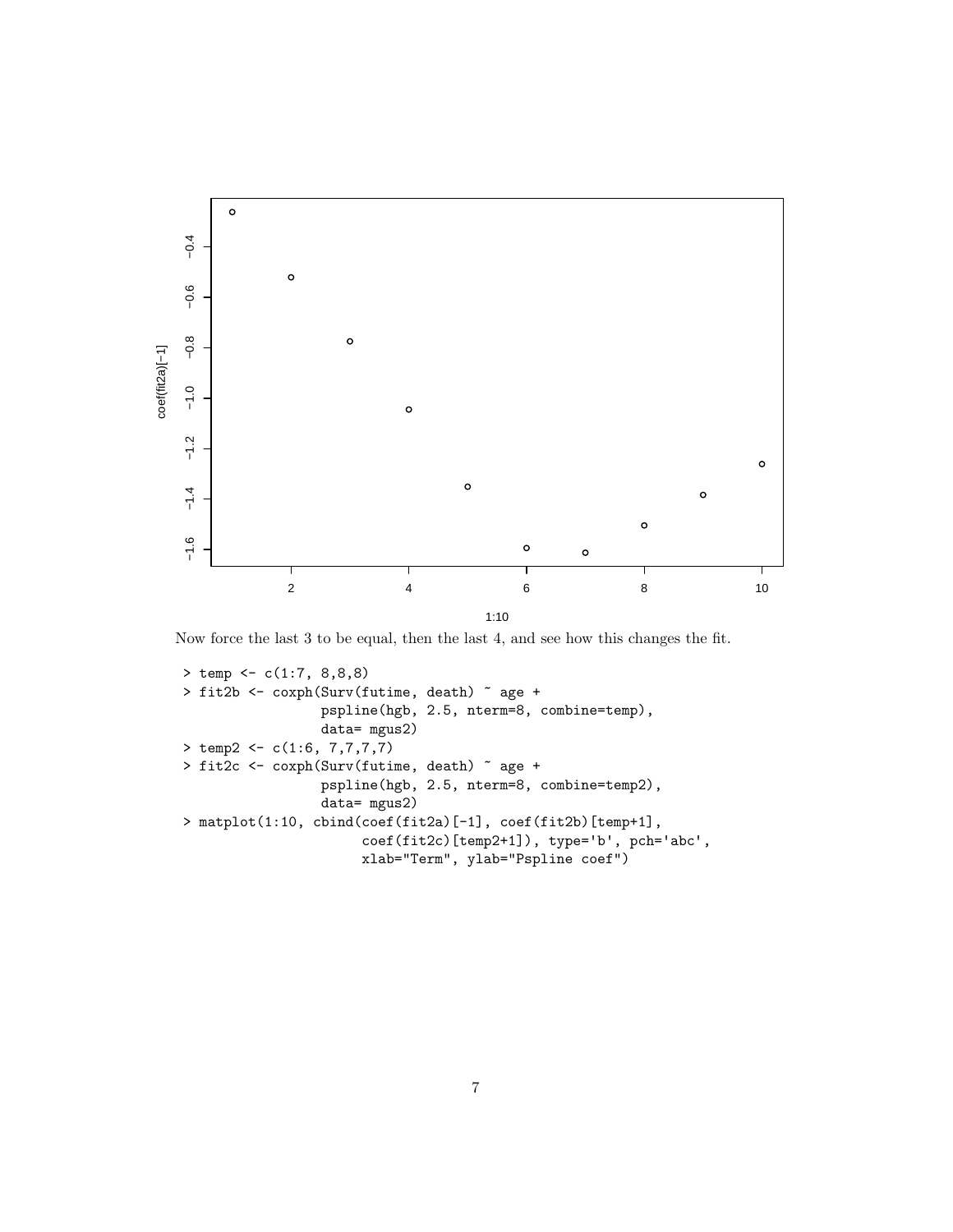

Now force the last 3 to be equal, then the last 4, and see how this changes the fit.

```
> temp <- c(1:7, 8,8,8)
> fit2b <- coxph(Surv(futime, death) ~ age +
                 pspline(hgb, 2.5, nterm=8, combine=temp),
                 data= mgus2)
> temp2 <- c(1:6, 7,7,7,7)
> fit2c <- coxph(Surv(futime, death) ~ age +
                 pspline(hgb, 2.5, nterm=8, combine=temp2),
                 data= mgus2)
> matplot(1:10, cbind(coef(fit2a)[-1], coef(fit2b)[temp+1],
                      coef(fit2c)[temp2+1]), type='b', pch='abc',
                      xlab="Term", ylab="Pspline coef")
```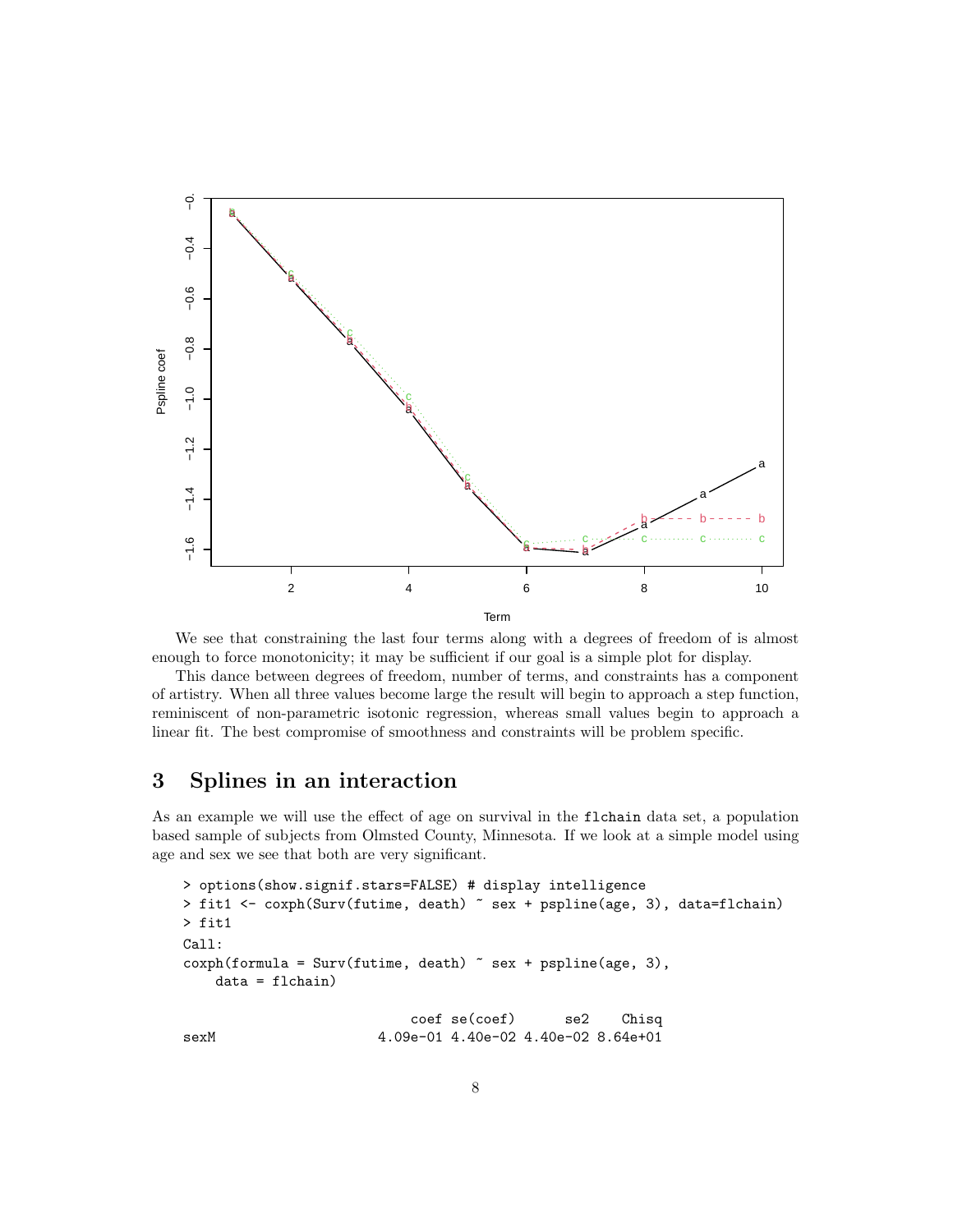

We see that constraining the last four terms along with a degrees of freedom of is almost enough to force monotonicity; it may be sufficient if our goal is a simple plot for display.

This dance between degrees of freedom, number of terms, and constraints has a component of artistry. When all three values become large the result will begin to approach a step function, reminiscent of non-parametric isotonic regression, whereas small values begin to approach a linear fit. The best compromise of smoothness and constraints will be problem specific.

## 3 Splines in an interaction

As an example we will use the effect of age on survival in the flchain data set, a population based sample of subjects from Olmsted County, Minnesota. If we look at a simple model using age and sex we see that both are very significant.

```
> options(show.signif.stars=FALSE) # display intelligence
> fit1 <- coxph(Surv(futime, death) ~ sex + pspline(age, 3), data=flchain)
> fit1
Call:
cosh(formula = Surv(futime, death) \tilde{ } sex + pspline(age, 3),
   data = flchain)
                          coef se(coef) se2 Chisq
sexM 4.09e-01 4.40e-02 4.40e-02 8.64e+01
```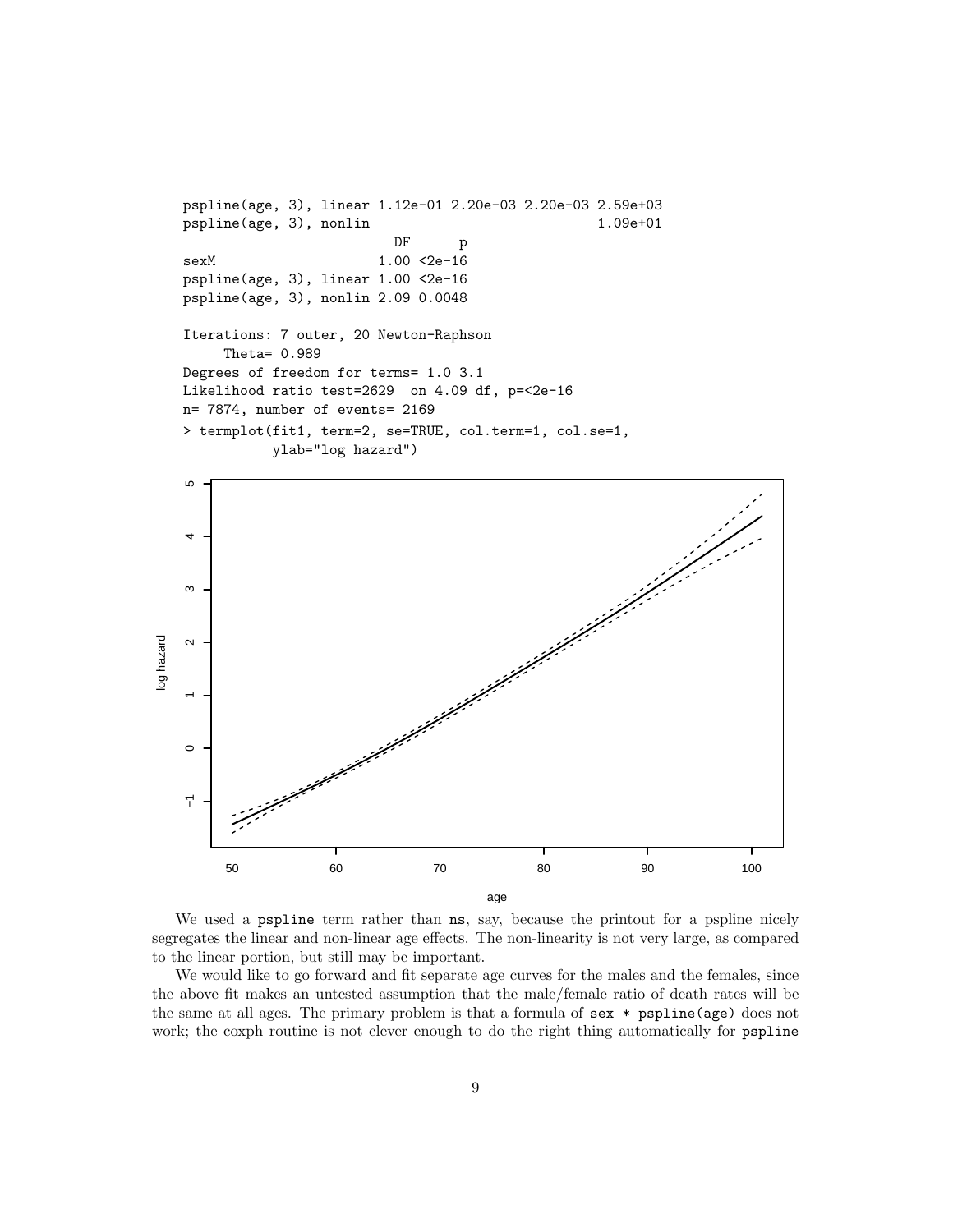```
pspline(age, 3), linear 1.12e-01 2.20e-03 2.20e-03 2.59e+03
pspline(age, 3), nonlin 1.09e+01
                       DF p
sexM 1.00 <2e-16
pspline(age, 3), linear 1.00 <2e-16
pspline(age, 3), nonlin 2.09 0.0048
Iterations: 7 outer, 20 Newton-Raphson
    Theta= 0.989
Degrees of freedom for terms= 1.0 3.1
Likelihood ratio test=2629 on 4.09 df, p=<2e-16
n= 7874, number of events= 2169
> termplot(fit1, term=2, se=TRUE, col.term=1, col.se=1,
          ylab="log hazard")
```


We used a pspline term rather than ns, say, because the printout for a pspline nicely segregates the linear and non-linear age effects. The non-linearity is not very large, as compared to the linear portion, but still may be important.

We would like to go forward and fit separate age curves for the males and the females, since the above fit makes an untested assumption that the male/female ratio of death rates will be the same at all ages. The primary problem is that a formula of sex \* pspline(age) does not work; the coxph routine is not clever enough to do the right thing automatically for pspline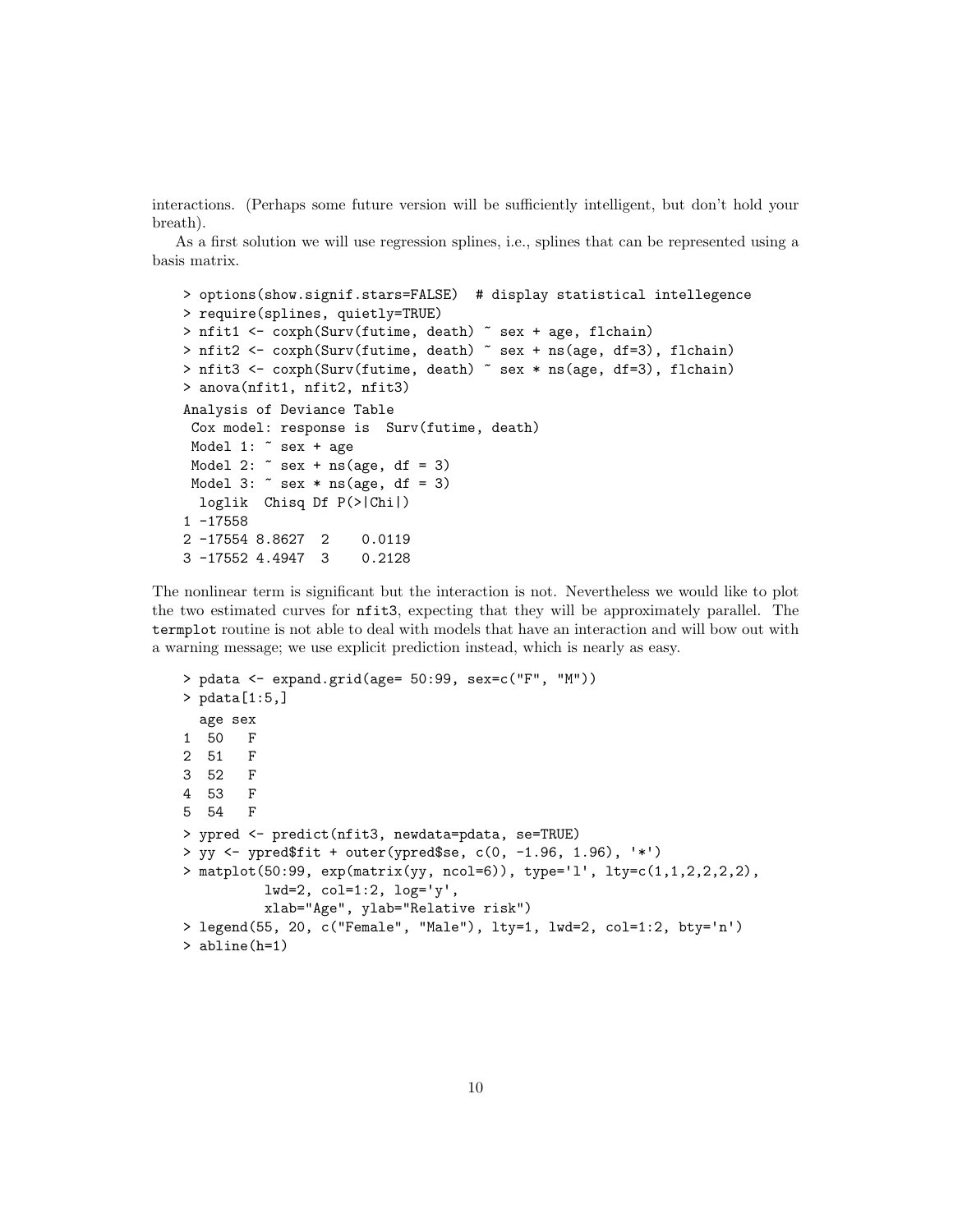interactions. (Perhaps some future version will be sufficiently intelligent, but don't hold your breath).

As a first solution we will use regression splines, i.e., splines that can be represented using a basis matrix.

```
> options(show.signif.stars=FALSE) # display statistical intellegence
> require(splines, quietly=TRUE)
> nfit1 <- coxph(Surv(futime, death) ~ sex + age, flchain)
> nfit2 <- coxph(Surv(futime, death) ~ sex + ns(age, df=3), flchain)
> nfit3 <- coxph(Surv(futime, death) ~ sex * ns(age, df=3), flchain)
> anova(nfit1, nfit2, nfit3)
Analysis of Deviance Table
 Cox model: response is Surv(futime, death)
 Model 1: \tilde{ } sex + age
 Model 2: \degree sex + ns(age, df = 3)
 Model 3: \degree sex * ns(age, df = 3)
  loglik Chisq Df P(>|Chi|)
1 -17558
2 -17554 8.8627 2 0.0119
3 -17552 4.4947 3 0.2128
```
The nonlinear term is significant but the interaction is not. Nevertheless we would like to plot the two estimated curves for nfit3, expecting that they will be approximately parallel. The termplot routine is not able to deal with models that have an interaction and will bow out with a warning message; we use explicit prediction instead, which is nearly as easy.

```
> pdata <- expand.grid(age= 50:99, sex=c("F", "M"))
> pdata[1:5,]
 age sex
1 50 F
2 51 F
3 52 F
4 53 F
5 54 F
> ypred <- predict(nfit3, newdata=pdata, se=TRUE)
> yy <- ypred$fit + outer(ypred$se, c(0, -1.96, 1.96), '*')
> matplot(50:99, exp(matrix(yy, ncol=6)), type='l', lty=c(1,1,2,2,2,2),
         lwd=2, col=1:2, log='y',
         xlab="Age", ylab="Relative risk")
> legend(55, 20, c("Female", "Male"), lty=1, lwd=2, col=1:2, bty='n')
> abline(h=1)
```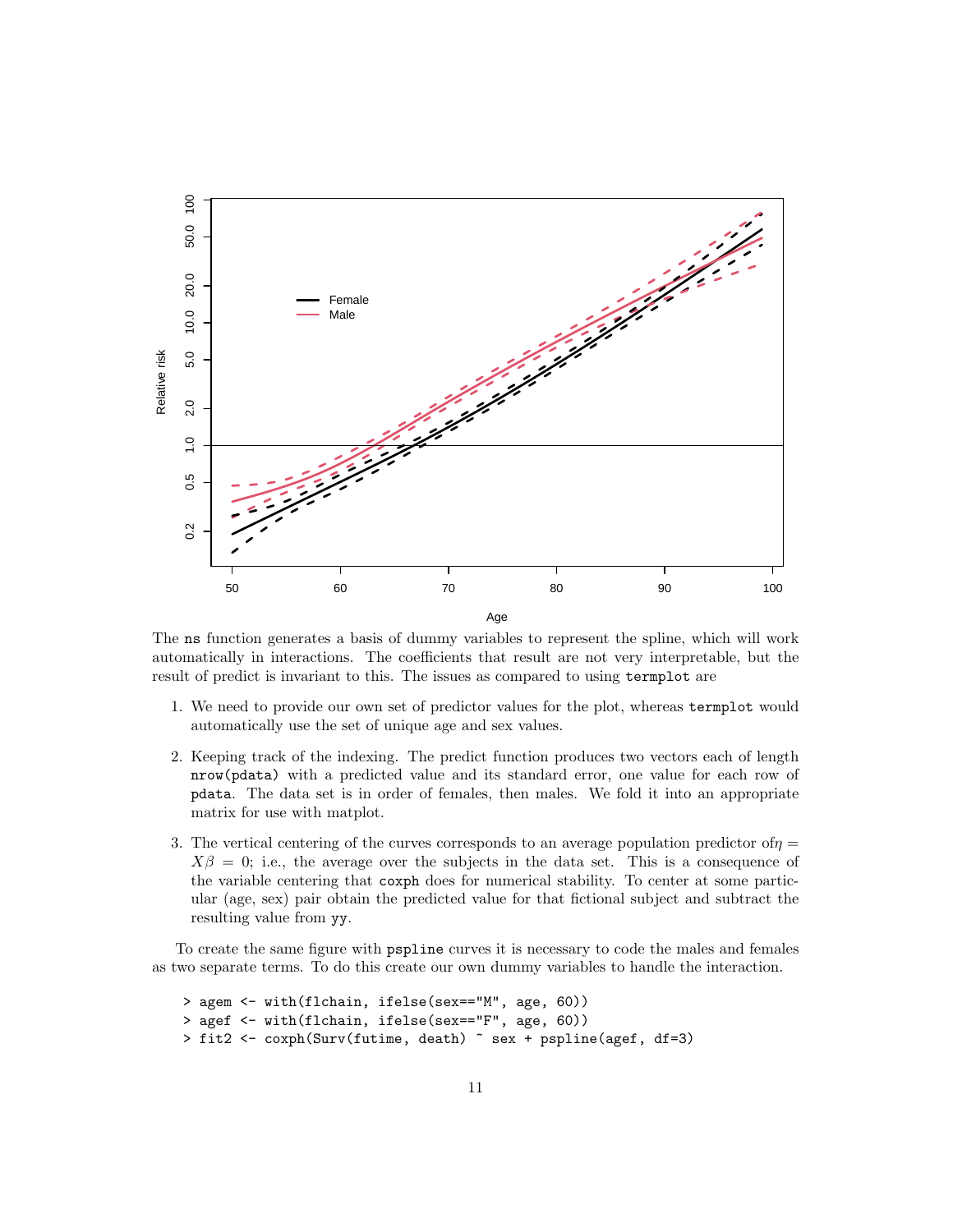

The ns function generates a basis of dummy variables to represent the spline, which will work automatically in interactions. The coefficients that result are not very interpretable, but the result of predict is invariant to this. The issues as compared to using termplot are

- 1. We need to provide our own set of predictor values for the plot, whereas termplot would automatically use the set of unique age and sex values.
- 2. Keeping track of the indexing. The predict function produces two vectors each of length nrow(pdata) with a predicted value and its standard error, one value for each row of pdata. The data set is in order of females, then males. We fold it into an appropriate matrix for use with matplot.
- 3. The vertical centering of the curves corresponds to an average population predictor of  $\eta$  =  $X\beta = 0$ ; i.e., the average over the subjects in the data set. This is a consequence of the variable centering that coxph does for numerical stability. To center at some particular (age, sex) pair obtain the predicted value for that fictional subject and subtract the resulting value from yy.

To create the same figure with pspline curves it is necessary to code the males and females as two separate terms. To do this create our own dummy variables to handle the interaction.

```
> agem <- with(flchain, ifelse(sex=="M", age, 60))
> agef <- with(flchain, ifelse(sex=="F", age, 60))
> fit2 <- coxph(Surv(futime, death) ~ sex + pspline(agef, df=3)
```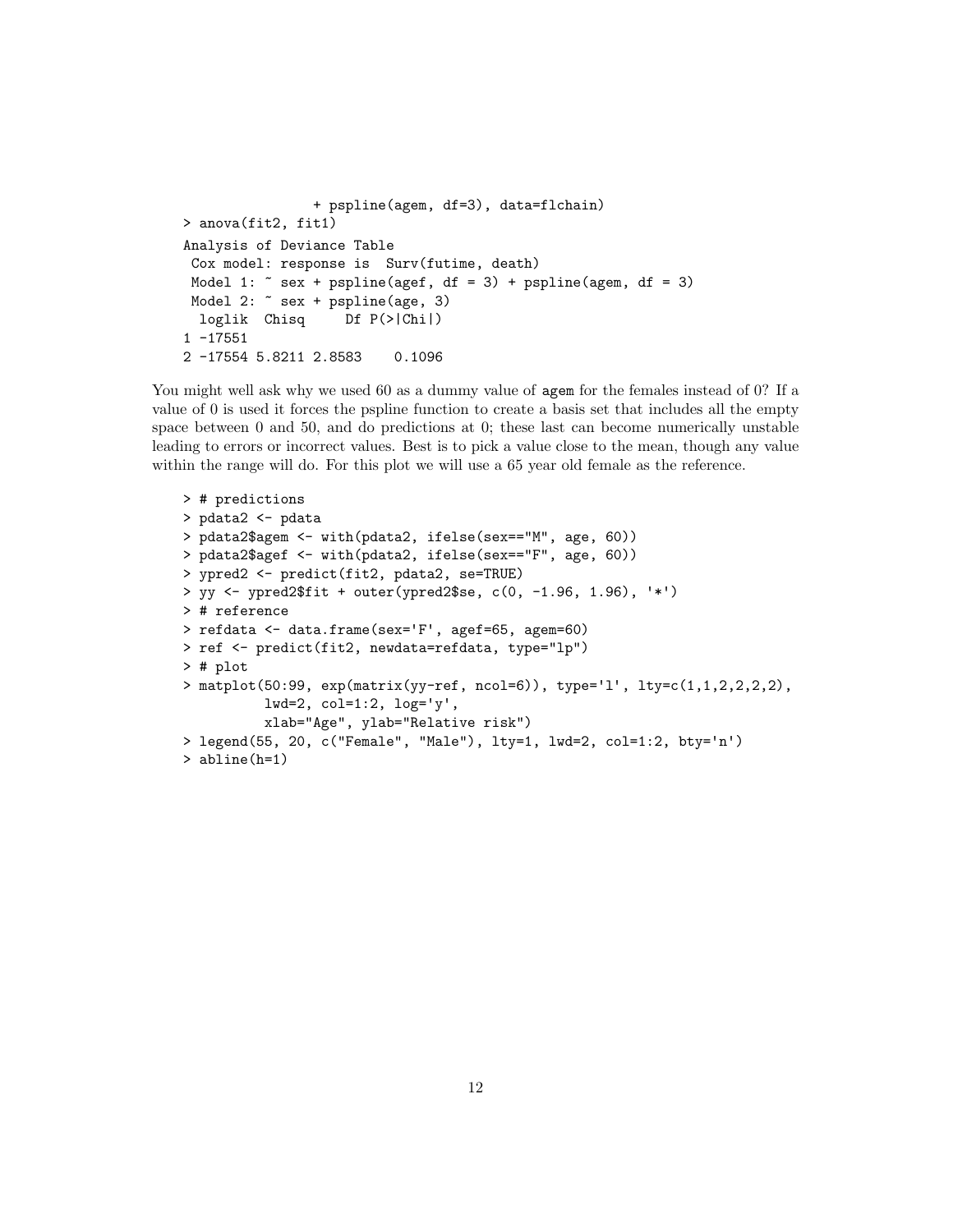```
+ pspline(agem, df=3), data=flchain)
> anova(fit2, fit1)
Analysis of Deviance Table
 Cox model: response is Surv(futime, death)
 Model 1: \tilde{ } sex + pspline(agef, df = 3) + pspline(agem, df = 3)
 Model 2: ~ sex + pspline(age, 3)
  loglik Chisq Df P(>|Chi|)
1 -17551
2 -17554 5.8211 2.8583 0.1096
```
You might well ask why we used 60 as a dummy value of agem for the females instead of 0? If a value of 0 is used it forces the pspline function to create a basis set that includes all the empty space between 0 and 50, and do predictions at 0; these last can become numerically unstable leading to errors or incorrect values. Best is to pick a value close to the mean, though any value within the range will do. For this plot we will use a 65 year old female as the reference.

```
> # predictions
> pdata2 <- pdata
> pdata2$agem <- with(pdata2, ifelse(sex=="M", age, 60))
> pdata2$agef <- with(pdata2, ifelse(sex=="F", age, 60))
> ypred2 <- predict(fit2, pdata2, se=TRUE)
> yy <- ypred2$fit + outer(ypred2$se, c(0, -1.96, 1.96), '*')
> # reference
> refdata <- data.frame(sex='F', agef=65, agem=60)
> ref <- predict(fit2, newdata=refdata, type="lp")
> # plot
> matplot(50:99, exp(maxrix(yy-ref, ncol=6)), type='l', lty=c(1,1,2,2,2,2),
          lwd=2, col=1:2, log='y',
          xlab="Age", ylab="Relative risk")
> legend(55, 20, c("Female", "Male"), lty=1, lwd=2, col=1:2, bty='n')
> abline(h=1)
```